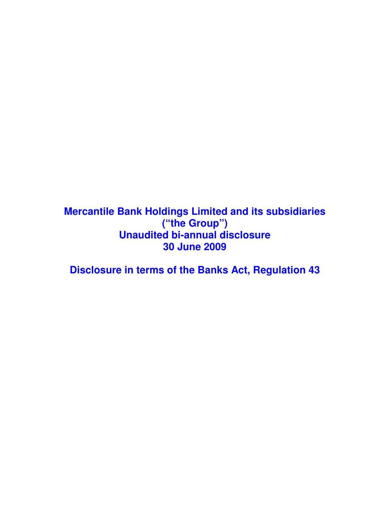**Mercantile Bank Holdings Limited and its subsidiaries ("the Group") Unaudited bi-annual disclosure 30 June 2009** 

**Disclosure in terms of the Banks Act, Regulation 43**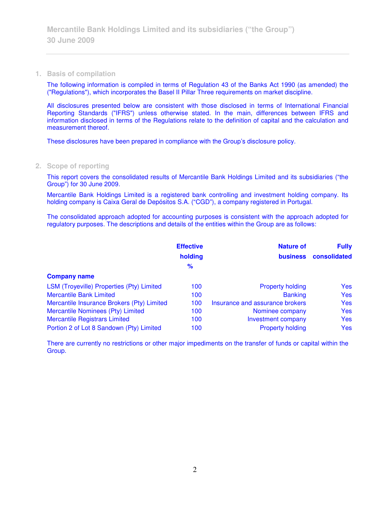## **1. Basis of compilation**

The following information is compiled in terms of Regulation 43 of the Banks Act 1990 (as amended) the ("Regulations"), which incorporates the Basel II Pillar Three requirements on market discipline.

All disclosures presented below are consistent with those disclosed in terms of International Financial Reporting Standards ("IFRS") unless otherwise stated. In the main, differences between IFRS and information disclosed in terms of the Regulations relate to the definition of capital and the calculation and measurement thereof.

These disclosures have been prepared in compliance with the Group's disclosure policy.

### **2. Scope of reporting**

This report covers the consolidated results of Mercantile Bank Holdings Limited and its subsidiaries ("the Group") for 30 June 2009.

Mercantile Bank Holdings Limited is a registered bank controlling and investment holding company. Its holding company is Caixa Geral de Depósitos S.A. ("CGD"), a company registered in Portugal.

The consolidated approach adopted for accounting purposes is consistent with the approach adopted for regulatory purposes. The descriptions and details of the entities within the Group are as follows:

|                                            | <b>Effective</b> | <b>Nature of</b>                | <b>Fully</b> |
|--------------------------------------------|------------------|---------------------------------|--------------|
|                                            | holding          | <b>business</b>                 | consolidated |
|                                            | $\frac{9}{6}$    |                                 |              |
| <b>Company name</b>                        |                  |                                 |              |
| LSM (Troyeville) Properties (Pty) Limited  | 100              | <b>Property holding</b>         | <b>Yes</b>   |
| <b>Mercantile Bank Limited</b>             | 100              | <b>Banking</b>                  | <b>Yes</b>   |
| Mercantile Insurance Brokers (Pty) Limited | 100              | Insurance and assurance brokers | <b>Yes</b>   |
| Mercantile Nominees (Pty) Limited          | 100              | Nominee company                 | <b>Yes</b>   |
| <b>Mercantile Registrars Limited</b>       | 100              | <b>Investment company</b>       | <b>Yes</b>   |
| Portion 2 of Lot 8 Sandown (Pty) Limited   | 100              | <b>Property holding</b>         | <b>Yes</b>   |

There are currently no restrictions or other major impediments on the transfer of funds or capital within the Group.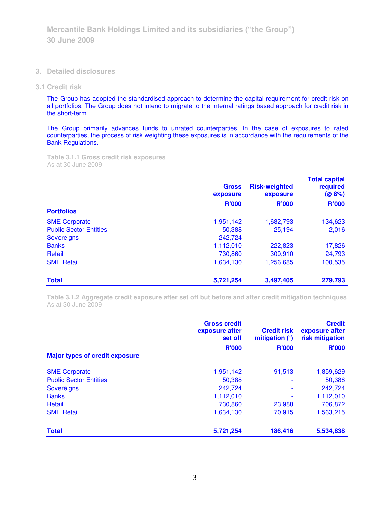**3. Detailed disclosures** 

### **3.1 Credit risk**

The Group has adopted the standardised approach to determine the capital requirement for credit risk on all portfolios. The Group does not intend to migrate to the internal ratings based approach for credit risk in the short-term.

The Group primarily advances funds to unrated counterparties. In the case of exposures to rated counterparties, the process of risk weighting these exposures is in accordance with the requirements of the Bank Regulations.

**Table 3.1.1 Gross credit risk exposures**  As at 30 June 2009

|                               | <b>Gross</b><br>exposure | <b>Risk-weighted</b><br>exposure | <b>Total capital</b><br>required<br>(@8%)<br><b>R'000</b> |
|-------------------------------|--------------------------|----------------------------------|-----------------------------------------------------------|
|                               | <b>R'000</b>             | <b>R'000</b>                     |                                                           |
| <b>Portfolios</b>             |                          |                                  |                                                           |
| <b>SME Corporate</b>          | 1,951,142                | 1,682,793                        | 134,623                                                   |
| <b>Public Sector Entities</b> | 50,388                   | 25,194                           | 2,016                                                     |
| <b>Sovereigns</b>             | 242,724                  |                                  |                                                           |
| <b>Banks</b>                  | 1,112,010                | 222,823                          | 17,826                                                    |
| Retail                        | 730,860                  | 309,910                          | 24,793                                                    |
| <b>SME Retail</b>             | 1,634,130                | 1,256,685                        | 100,535                                                   |
| <b>Total</b>                  | 5,721,254                | 3,497,405                        | 279,793                                                   |

**Table 3.1.2 Aggregate credit exposure after set off but before and after credit mitigation techniques**  As at 30 June 2009

|                                       | <b>Gross credit</b><br>exposure after<br>set off | <b>Credit risk</b><br>mitigation $(1)$ | <b>Credit</b><br>exposure after<br>risk mitigation |
|---------------------------------------|--------------------------------------------------|----------------------------------------|----------------------------------------------------|
| <b>Major types of credit exposure</b> | <b>R'000</b>                                     | <b>R'000</b>                           | <b>R'000</b>                                       |
| <b>SME Corporate</b>                  | 1,951,142                                        | 91,513                                 | 1,859,629                                          |
| <b>Public Sector Entities</b>         | 50,388                                           |                                        | 50,388                                             |
| <b>Sovereigns</b>                     | 242,724                                          |                                        | 242,724                                            |
| <b>Banks</b>                          | 1,112,010                                        |                                        | 1,112,010                                          |
| Retail                                | 730.860                                          | 23,988                                 | 706,872                                            |
| <b>SME Retail</b>                     | 1,634,130                                        | 70,915                                 | 1,563,215                                          |
| <b>Total</b>                          | 5,721,254                                        | 186,416                                | 5,534,838                                          |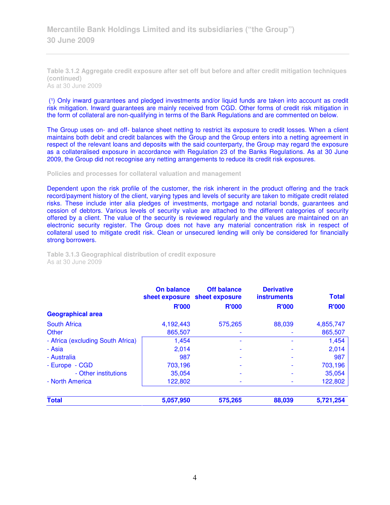**Table 3.1.2 Aggregate credit exposure after set off but before and after credit mitigation techniques (continued)**  As at 30 June 2009

(1) Only inward guarantees and pledged investments and/or liquid funds are taken into account as credit risk mitigation. Inward guarantees are mainly received from CGD. Other forms of credit risk mitigation in the form of collateral are non-qualifying in terms of the Bank Regulations and are commented on below.

The Group uses on- and off- balance sheet netting to restrict its exposure to credit losses. When a client maintains both debit and credit balances with the Group and the Group enters into a netting agreement in respect of the relevant loans and deposits with the said counterparty, the Group may regard the exposure as a collateralised exposure in accordance with Regulation 23 of the Banks Regulations. As at 30 June 2009, the Group did not recognise any netting arrangements to reduce its credit risk exposures.

#### **Policies and processes for collateral valuation and management**

Dependent upon the risk profile of the customer, the risk inherent in the product offering and the track record/payment history of the client, varying types and levels of security are taken to mitigate credit related risks. These include inter alia pledges of investments, mortgage and notarial bonds, guarantees and cession of debtors. Various levels of security value are attached to the different categories of security offered by a client. The value of the security is reviewed regularly and the values are maintained on an electronic security register. The Group does not have any material concentration risk in respect of collateral used to mitigate credit risk. Clean or unsecured lending will only be considered for financially strong borrowers.

| Table 3.1.3 Geographical distribution of credit exposure |  |  |
|----------------------------------------------------------|--|--|
| As at 30 June 2009                                       |  |  |

|                                   | On balance   | <b>Off balance</b><br>sheet exposure sheet exposure | <b>Derivative</b><br><b>instruments</b> | <b>Total</b> |
|-----------------------------------|--------------|-----------------------------------------------------|-----------------------------------------|--------------|
|                                   | <b>R'000</b> | <b>R'000</b>                                        | <b>R'000</b>                            | <b>R'000</b> |
| <b>Geographical area</b>          |              |                                                     |                                         |              |
| <b>South Africa</b>               | 4,192,443    | 575.265                                             | 88,039                                  | 4,855,747    |
| Other                             | 865,507      |                                                     |                                         | 865,507      |
| - Africa (excluding South Africa) | 1,454        |                                                     |                                         | 1,454        |
| - Asia                            | 2.014        |                                                     |                                         | 2,014        |
| - Australia                       | 987          |                                                     |                                         | 987          |
| - Europe - CGD                    | 703,196      |                                                     |                                         | 703,196      |
| - Other institutions              | 35,054       |                                                     |                                         | 35,054       |
| - North America                   | 122,802      |                                                     |                                         | 122,802      |
| <b>Total</b>                      | 5,057,950    | 575,265                                             | 88,039                                  | 5,721,254    |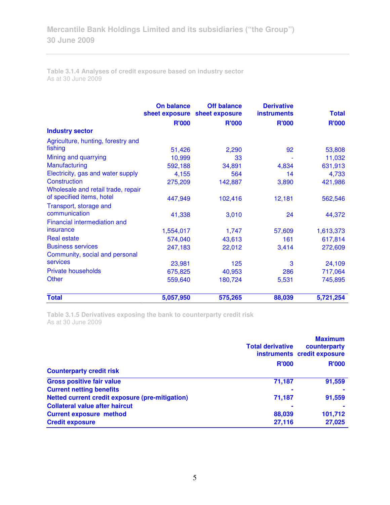**Table 3.1.4 Analyses of credit exposure based on industry sector**  As at 30 June 2009

|                                    | <b>On balance</b> | <b>Off balance</b><br>sheet exposure sheet exposure | <b>Derivative</b><br><b>instruments</b> | <b>Total</b> |
|------------------------------------|-------------------|-----------------------------------------------------|-----------------------------------------|--------------|
|                                    | <b>R'000</b>      | <b>R'000</b>                                        | <b>R'000</b>                            | <b>R'000</b> |
| <b>Industry sector</b>             |                   |                                                     |                                         |              |
| Agriculture, hunting, forestry and |                   |                                                     |                                         |              |
| fishing                            | 51,426            | 2,290                                               | 92                                      | 53,808       |
| Mining and quarrying               | 10,999            | 33                                                  |                                         | 11,032       |
| Manufacturing                      | 592,188           | 34,891                                              | 4,834                                   | 631,913      |
| Electricity, gas and water supply  | 4,155             | 564                                                 | 14                                      | 4,733        |
| Construction                       | 275,209           | 142,887                                             | 3,890                                   | 421,986      |
| Wholesale and retail trade, repair |                   |                                                     |                                         |              |
| of specified items, hotel          | 447,949           | 102,416                                             | 12,181                                  | 562,546      |
| Transport, storage and             |                   |                                                     |                                         |              |
| communication                      | 41,338            | 3,010                                               | 24                                      | 44,372       |
| Financial intermediation and       |                   |                                                     |                                         |              |
| insurance                          | 1,554,017         | 1,747                                               | 57,609                                  | 1,613,373    |
| <b>Real estate</b>                 | 574,040           | 43,613                                              | 161                                     | 617,814      |
| <b>Business services</b>           | 247,183           | 22,012                                              | 3,414                                   | 272,609      |
| Community, social and personal     |                   |                                                     |                                         |              |
| services                           | 23,981            | 125                                                 | 3                                       | 24,109       |
| Private households                 | 675,825           | 40,953                                              | 286                                     | 717,064      |
| Other                              | 559,640           | 180,724                                             | 5,531                                   | 745,895      |
| <b>Total</b>                       | 5,057,950         | 575,265                                             | 88,039                                  | 5,721,254    |

**Table 3.1.5 Derivatives exposing the bank to counterparty credit risk**  As at 30 June 2009

|                                                 | <b>Total derivative</b> | <b>Maximum</b><br>counterparty<br>instruments credit exposure |  |
|-------------------------------------------------|-------------------------|---------------------------------------------------------------|--|
| <b>Counterparty credit risk</b>                 | <b>R'000</b>            | <b>R'000</b>                                                  |  |
| <b>Gross positive fair value</b>                | 71,187                  | 91,559                                                        |  |
| <b>Current netting benefits</b>                 | ۰                       |                                                               |  |
| Netted current credit exposure (pre-mitigation) | 71,187                  | 91,559                                                        |  |
| <b>Collateral value after haircut</b>           |                         |                                                               |  |
| <b>Current exposure method</b>                  | 88,039                  | 101,712                                                       |  |
| <b>Credit exposure</b>                          | 27,116                  | 27,025                                                        |  |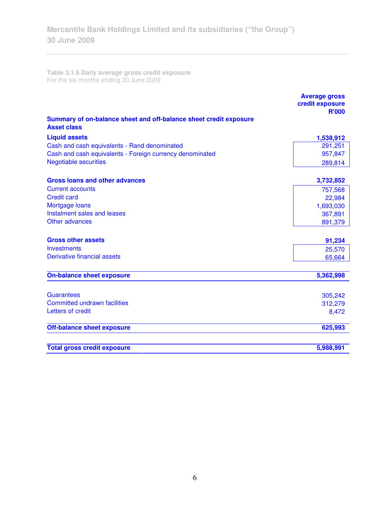**Table 3.1.6 Daily average gross credit exposure**  For the six months ending 30 June 2009

|                                                                                         | <b>Average gross</b><br>credit exposure<br><b>R'000</b> |
|-----------------------------------------------------------------------------------------|---------------------------------------------------------|
| Summary of on-balance sheet and off-balance sheet credit exposure<br><b>Asset class</b> |                                                         |
| <b>Liquid assets</b>                                                                    | 1,538,912                                               |
| Cash and cash equivalents - Rand denominated                                            | 291,251                                                 |
| Cash and cash equivalents - Foreign currency denominated                                | 957,847                                                 |
| <b>Negotiable securities</b>                                                            | 289,814                                                 |
| <b>Gross loans and other advances</b>                                                   | 3,732,852                                               |
| <b>Current accounts</b>                                                                 | 757,568                                                 |
| <b>Credit card</b>                                                                      | 22,984                                                  |
| Mortgage loans                                                                          | 1,693,030                                               |
| Instalment sales and leases                                                             | 367,891                                                 |
| Other advances                                                                          | 891,379                                                 |
| <b>Gross other assets</b>                                                               | 91,234                                                  |
| Investments                                                                             | 25,570                                                  |
| Derivative financial assets                                                             | 65,664                                                  |
| <b>On-balance sheet exposure</b>                                                        | 5,362,998                                               |
| <b>Guarantees</b>                                                                       | 305,242                                                 |
| <b>Committed undrawn facilities</b>                                                     | 312,279                                                 |
| Letters of credit                                                                       | 8,472                                                   |
| <b>Off-balance sheet exposure</b>                                                       | 625,993                                                 |
| <b>Total gross credit exposure</b>                                                      | 5,988,991                                               |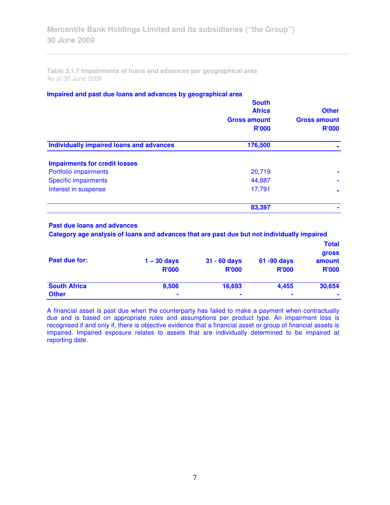**Table 3.1.7 Impairments of loans and advances per geographical area**  As at 30 June 2009

### **Impaired and past due loans and advances by geographical area**

| <b>South</b><br><b>Africa</b><br><b>Gross amount</b><br><b>R'000</b> | <b>Other</b><br><b>Gross amount</b><br><b>R'000</b> |
|----------------------------------------------------------------------|-----------------------------------------------------|
| 176,500                                                              |                                                     |
|                                                                      |                                                     |
| 20,719                                                               |                                                     |
| 44,887                                                               |                                                     |
| 17,791                                                               |                                                     |
| 83,397                                                               |                                                     |
|                                                                      |                                                     |

## **Past due loans and advances**

 **Category age analysis of loans and advances that are past due but not individually impaired** 

|                     |                |                |                | <b>Total</b><br><b>gross</b> |
|---------------------|----------------|----------------|----------------|------------------------------|
| Past due for:       | $1 - 30$ days  | $31 - 60$ days | 61 -90 days    | amount                       |
|                     | <b>R'000</b>   | <b>R'000</b>   | <b>R'000</b>   | <b>R'000</b>                 |
| <b>South Africa</b> | 9,506          | 16,693         | 4,455          | 30,654                       |
| <b>Other</b>        | $\blacksquare$ | $\blacksquare$ | $\blacksquare$ |                              |

A financial asset is past due when the counterparty has failed to make a payment when contractually due and is based on appropriate rules and assumptions per product type. An impairment loss is recognised if and only if, there is objective evidence that a financial asset or group of financial assets is impaired. Impaired exposure relates to assets that are individually determined to be impaired at reporting date.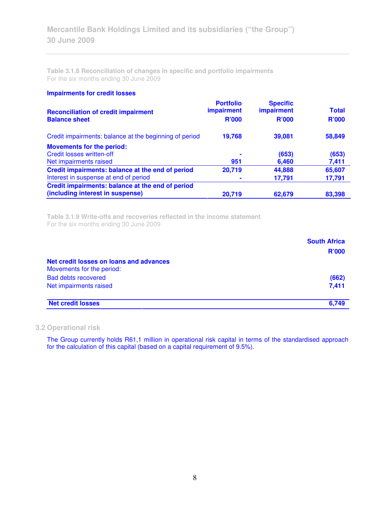**Table 3.1.8 Reconciliation of changes in specific and portfolio impairments**  For the six months ending 30 June 2009

### **Impairments for credit losses**

| <b>Reconciliation of credit impairment</b><br><b>Balance sheet</b> | <b>Portfolio</b><br>impairment<br><b>R'000</b> | <b>Specific</b><br>impairment<br><b>R'000</b> | <b>Total</b><br><b>R'000</b> |
|--------------------------------------------------------------------|------------------------------------------------|-----------------------------------------------|------------------------------|
| Credit impairments: balance at the beginning of period             | 19,768                                         | 39,081                                        | 58,849                       |
| <b>Movements for the period:</b>                                   |                                                |                                               |                              |
| <b>Credit losses written-off</b>                                   | ۰                                              | (653)                                         | (653)                        |
| Net impairments raised                                             | 951                                            | 6,460                                         | 7,411                        |
| Credit impairments: balance at the end of period                   | 20,719                                         | 44,888                                        | 65,607                       |
| Interest in suspense at end of period                              |                                                | 17,791                                        | 17,791                       |
| Credit impairments: balance at the end of period                   |                                                |                                               |                              |
| (including interest in suspense)                                   | 20,719                                         | 62,679                                        | 83,398                       |

**Table 3.1.9 Write-offs and recoveries reflected in the income statement**  For the six months ending 30 June 2009

|                                                                      | <b>South Africa</b><br><b>R'000</b> |
|----------------------------------------------------------------------|-------------------------------------|
| Net credit losses on loans and advances<br>Movements for the period: |                                     |
| <b>Bad debts recovered</b>                                           | (662)                               |
| Net impairments raised                                               | 7.411                               |
| <b>Net credit losses</b>                                             | 6.749                               |

## **3.2 Operational risk**

The Group currently holds R61,1 million in operational risk capital in terms of the standardised approach for the calculation of this capital (based on a capital requirement of 9.5%).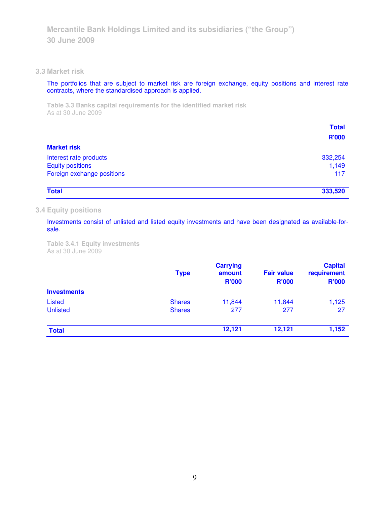### **3.3 Market risk**

The portfolios that are subject to market risk are foreign exchange, equity positions and interest rate contracts, where the standardised approach is applied.

**Table 3.3 Banks capital requirements for the identified market risk**  As at 30 June 2009

|                            | <b>Total</b> |
|----------------------------|--------------|
|                            | <b>R'000</b> |
| <b>Market risk</b>         |              |
| Interest rate products     | 332,254      |
| <b>Equity positions</b>    | 1,149        |
| Foreign exchange positions | 117          |
| <b>Total</b>               | 333,520      |

## **3.4 Equity positions**

Investments consist of unlisted and listed equity investments and have been designated as available-forsale.

**Table 3.4.1 Equity investments**  As at 30 June 2009

|                    | <b>Type</b>   | <b>Carrying</b><br>amount<br><b>R'000</b> | <b>Fair value</b><br><b>R'000</b> | <b>Capital</b><br>requirement<br><b>R'000</b> |
|--------------------|---------------|-------------------------------------------|-----------------------------------|-----------------------------------------------|
| <b>Investments</b> |               | 11,844                                    | 11,844                            | 1,125                                         |
| Listed             | <b>Shares</b> |                                           |                                   |                                               |
| <b>Unlisted</b>    | <b>Shares</b> | 277                                       | 277                               | 27                                            |
| <b>Total</b>       |               | 12,121                                    | 12,121                            | 1,152                                         |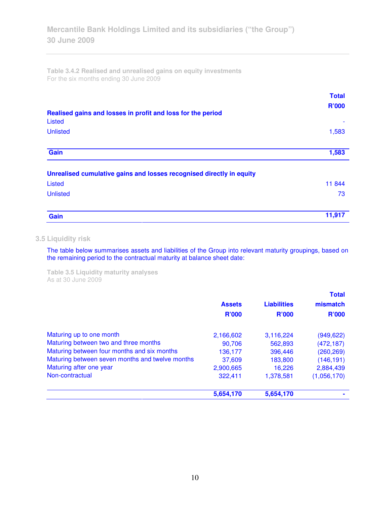**Table 3.4.2 Realised and unrealised gains on equity investments**  For the six months ending 30 June 2009

| Realised gains and losses in profit and loss for the period          | <b>Total</b><br><b>R'000</b> |
|----------------------------------------------------------------------|------------------------------|
| <b>Listed</b>                                                        |                              |
| <b>Unlisted</b>                                                      | 1,583                        |
| Gain                                                                 | 1,583                        |
| Unrealised cumulative gains and losses recognised directly in equity |                              |
| Listed                                                               | 11 844                       |
| <b>Unlisted</b>                                                      | 73                           |
| Gain                                                                 | 11,917                       |

# **3.5 Liquidity risk**

The table below summarises assets and liabilities of the Group into relevant maturity groupings, based on the remaining period to the contractual maturity at balance sheet date:

**Table 3.5 Liquidity maturity analyses**  As at 30 June 2009

|                                                 |               |                    | <b>Total</b> |
|-------------------------------------------------|---------------|--------------------|--------------|
|                                                 | <b>Assets</b> | <b>Liabilities</b> | mismatch     |
|                                                 | <b>R'000</b>  | <b>R'000</b>       | <b>R'000</b> |
| Maturing up to one month                        | 2,166,602     | 3,116,224          | (949, 622)   |
| Maturing between two and three months           | 90,706        | 562,893            | (472, 187)   |
| Maturing between four months and six months     | 136,177       | 396,446            | (260, 269)   |
| Maturing between seven months and twelve months | 37,609        | 183,800            | (146, 191)   |
| Maturing after one year                         | 2,900,665     | 16,226             | 2,884,439    |
| Non-contractual                                 | 322,411       | 1,378,581          | (1,056,170)  |
|                                                 | 5,654,170     | 5,654,170          |              |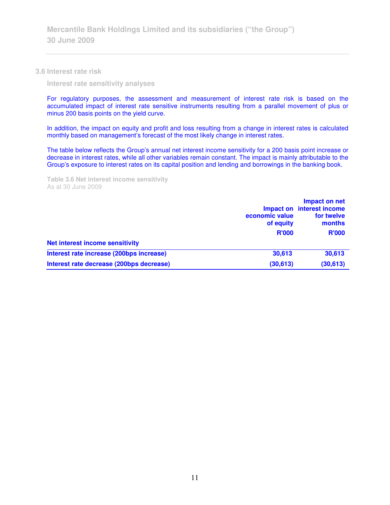#### **3.6 Interest rate risk**

 **Interest rate sensitivity analyses** 

For regulatory purposes, the assessment and measurement of interest rate risk is based on the accumulated impact of interest rate sensitive instruments resulting from a parallel movement of plus or minus 200 basis points on the yield curve.

In addition, the impact on equity and profit and loss resulting from a change in interest rates is calculated monthly based on management's forecast of the most likely change in interest rates.

The table below reflects the Group's annual net interest income sensitivity for a 200 basis point increase or decrease in interest rates, while all other variables remain constant. The impact is mainly attributable to the Group's exposure to interest rates on its capital position and lending and borrowings in the banking book.

**Table 3.6 Net interest income sensitivity**  As at 30 June 2009

|                                          | economic value<br>of equity<br><b>R'000</b> | Impact on net<br>Impact on interest income<br>for twelve<br>months<br><b>R'000</b> |
|------------------------------------------|---------------------------------------------|------------------------------------------------------------------------------------|
| <b>Net interest income sensitivity</b>   |                                             |                                                                                    |
| Interest rate increase (200bps increase) | 30,613                                      | 30,613                                                                             |
| Interest rate decrease (200bps decrease) | (30, 613)                                   | (30, 613)                                                                          |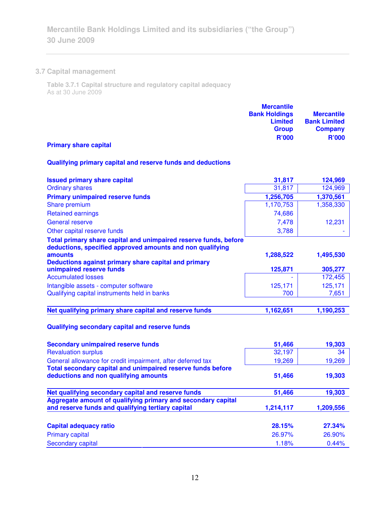# **3.7 Capital management**

**Table 3.7.1 Capital structure and regulatory capital adequacy**  As at 30 June 2009

| <b>Mercantile</b>    |                     |
|----------------------|---------------------|
| <b>Bank Holdings</b> | <b>Mercantile</b>   |
| <b>Limited</b>       | <b>Bank Limited</b> |
| <b>Group</b>         | <b>Company</b>      |
| <b>R'000</b>         | <b>R'000</b>        |

# **Primary share capital**

# **Qualifying primary capital and reserve funds and deductions**

| <b>Issued primary share capital</b>                                                                                           | 31,817    | 124,969   |
|-------------------------------------------------------------------------------------------------------------------------------|-----------|-----------|
| <b>Ordinary shares</b>                                                                                                        | 31,817    | 124,969   |
| <b>Primary unimpaired reserve funds</b>                                                                                       | 1,256,705 | 1,370,561 |
| Share premium                                                                                                                 | 1,170,753 | 1,358,330 |
| <b>Retained earnings</b>                                                                                                      | 74,686    |           |
| <b>General reserve</b>                                                                                                        | 7,478     | 12,231    |
| Other capital reserve funds                                                                                                   | 3,788     |           |
| Total primary share capital and unimpaired reserve funds, before<br>deductions, specified approved amounts and non qualifying |           |           |
| amounts                                                                                                                       | 1,288,522 | 1,495,530 |
| Deductions against primary share capital and primary                                                                          |           |           |
| unimpaired reserve funds                                                                                                      | 125,871   | 305,277   |
| <b>Accumulated losses</b>                                                                                                     |           | 172,455   |
| Intangible assets - computer software                                                                                         | 125,171   | 125,171   |
| Qualifying capital instruments held in banks                                                                                  | 700       | 7,651     |
| Net qualifying primary share capital and reserve funds                                                                        | 1,162,651 | 1,190,253 |
| Qualifying secondary capital and reserve funds                                                                                |           |           |
| <b>Secondary unimpaired reserve funds</b>                                                                                     | 51,466    | 19,303    |
| <b>Revaluation surplus</b>                                                                                                    | 32,197    | 34        |
| General allowance for credit impairment, after deferred tax                                                                   | 19,269    | 19,269    |
| Total secondary capital and unimpaired reserve funds before                                                                   |           |           |
| deductions and non qualifying amounts                                                                                         | 51,466    | 19,303    |
| Net qualifying secondary capital and reserve funds                                                                            | 51,466    | 19,303    |
| Aggregate amount of qualifying primary and secondary capital                                                                  |           |           |
| and reserve funds and qualifying tertiary capital                                                                             | 1,214,117 | 1,209,556 |
|                                                                                                                               |           |           |
| <b>Capital adequacy ratio</b>                                                                                                 | 28.15%    | 27.34%    |
| <b>Primary capital</b>                                                                                                        | 26.97%    | 26.90%    |
| <b>Secondary capital</b>                                                                                                      | 1.18%     | 0.44%     |